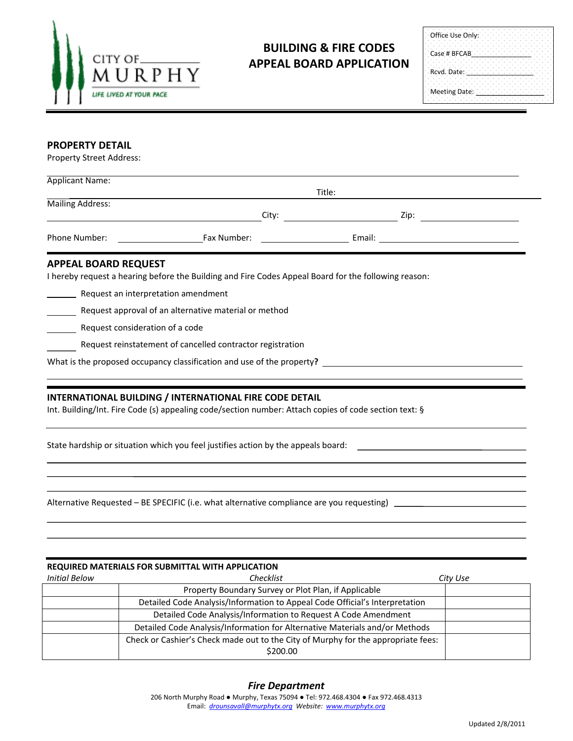

## **BUILDING & FIRE CODES APPEAL BOARD APPLICATION**

| Office Use Only: |  |  |  |  |  |  |  |  |  |
|------------------|--|--|--|--|--|--|--|--|--|
| Case # BFCAB     |  |  |  |  |  |  |  |  |  |
| Rcvd. Date:      |  |  |  |  |  |  |  |  |  |
| Meeting Date:    |  |  |  |  |  |  |  |  |  |

## **PROPERTY DETAIL**

Property Street Address:

| <b>Applicant Name:</b><br>Title:                                                                      |                                                                                                                                                                                                                             |                                                                                                                                                                                                                                |  |  |  |  |  |
|-------------------------------------------------------------------------------------------------------|-----------------------------------------------------------------------------------------------------------------------------------------------------------------------------------------------------------------------------|--------------------------------------------------------------------------------------------------------------------------------------------------------------------------------------------------------------------------------|--|--|--|--|--|
| Mailing Address:                                                                                      |                                                                                                                                                                                                                             |                                                                                                                                                                                                                                |  |  |  |  |  |
|                                                                                                       | <u> 1989 - Johann Barn, fransk politik amerikansk politik (</u>                                                                                                                                                             |                                                                                                                                                                                                                                |  |  |  |  |  |
|                                                                                                       |                                                                                                                                                                                                                             |                                                                                                                                                                                                                                |  |  |  |  |  |
| <b>APPEAL BOARD REQUEST</b><br>Request an interpretation amendment<br>Request consideration of a code | I hereby request a hearing before the Building and Fire Codes Appeal Board for the following reason:<br>Request approval of an alternative material or method<br>Request reinstatement of cancelled contractor registration |                                                                                                                                                                                                                                |  |  |  |  |  |
|                                                                                                       | INTERNATIONAL BUILDING / INTERNATIONAL FIRE CODE DETAIL<br>Int. Building/Int. Fire Code (s) appealing code/section number: Attach copies of code section text: §                                                            | State hardship or situation which you feel justifies action by the appeals board: The controller state of the state of the state of the state of the state of the state of the state of the state of the state of the state of |  |  |  |  |  |
|                                                                                                       |                                                                                                                                                                                                                             | Alternative Requested – BE SPECIFIC (i.e. what alternative compliance are you requesting) ____________________                                                                                                                 |  |  |  |  |  |

| <b>REQUIRED MATERIALS FOR SUBMITTAL WITH APPLICATION</b> |                                                                                               |          |  |  |  |  |  |
|----------------------------------------------------------|-----------------------------------------------------------------------------------------------|----------|--|--|--|--|--|
| <b>Initial Below</b>                                     | Checklist                                                                                     | City Use |  |  |  |  |  |
|                                                          | Property Boundary Survey or Plot Plan, if Applicable                                          |          |  |  |  |  |  |
|                                                          | Detailed Code Analysis/Information to Appeal Code Official's Interpretation                   |          |  |  |  |  |  |
|                                                          | Detailed Code Analysis/Information to Request A Code Amendment                                |          |  |  |  |  |  |
|                                                          | Detailed Code Analysis/Information for Alternative Materials and/or Methods                   |          |  |  |  |  |  |
|                                                          | Check or Cashier's Check made out to the City of Murphy for the appropriate fees:<br>\$200.00 |          |  |  |  |  |  |

## *Fire Department*

206 North Murphy Road ● Murphy, Texas 75094 ● Tel: 972.468.4304 ● Fax 972.468.4313 Email: *[drounsavall@murphytx.org](mailto:drounsavall@murphytx.org) Website: [www.murphytx.org](http://www.murphytx.org/)*